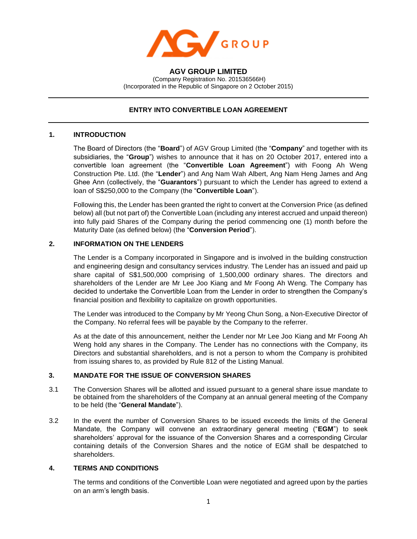

**AGV GROUP LIMITED** (Company Registration No. 201536566H) (Incorporated in the Republic of Singapore on 2 October 2015)

# **ENTRY INTO CONVERTIBLE LOAN AGREEMENT**

## **1. INTRODUCTION**

The Board of Directors (the "**Board**") of AGV Group Limited (the "**Company**" and together with its subsidiaries, the "**Group**") wishes to announce that it has on 20 October 2017, entered into a convertible loan agreement (the "**Convertible Loan Agreement**") with Foong Ah Weng Construction Pte. Ltd. (the "**Lender**") and Ang Nam Wah Albert, Ang Nam Heng James and Ang Ghee Ann (collectively, the "**Guarantors**") pursuant to which the Lender has agreed to extend a loan of S\$250,000 to the Company (the "**Convertible Loan**").

Following this, the Lender has been granted the right to convert at the Conversion Price (as defined below) all (but not part of) the Convertible Loan (including any interest accrued and unpaid thereon) into fully paid Shares of the Company during the period commencing one (1) month before the Maturity Date (as defined below) (the "**Conversion Period**").

## **2. INFORMATION ON THE LENDERS**

The Lender is a Company incorporated in Singapore and is involved in the building construction and engineering design and consultancy services industry. The Lender has an issued and paid up share capital of S\$1,500,000 comprising of 1,500,000 ordinary shares. The directors and shareholders of the Lender are Mr Lee Joo Kiang and Mr Foong Ah Weng. The Company has decided to undertake the Convertible Loan from the Lender in order to strengthen the Company's financial position and flexibility to capitalize on growth opportunities.

The Lender was introduced to the Company by Mr Yeong Chun Song, a Non-Executive Director of the Company. No referral fees will be payable by the Company to the referrer.

As at the date of this announcement, neither the Lender nor Mr Lee Joo Kiang and Mr Foong Ah Weng hold any shares in the Company. The Lender has no connections with the Company, its Directors and substantial shareholders, and is not a person to whom the Company is prohibited from issuing shares to, as provided by Rule 812 of the Listing Manual.

### **3. MANDATE FOR THE ISSUE OF CONVERSION SHARES**

- 3.1 The Conversion Shares will be allotted and issued pursuant to a general share issue mandate to be obtained from the shareholders of the Company at an annual general meeting of the Company to be held (the "**General Mandate**").
- 3.2 In the event the number of Conversion Shares to be issued exceeds the limits of the General Mandate, the Company will convene an extraordinary general meeting ("**EGM**") to seek shareholders' approval for the issuance of the Conversion Shares and a corresponding Circular containing details of the Conversion Shares and the notice of EGM shall be despatched to shareholders.

### **4. TERMS AND CONDITIONS**

The terms and conditions of the Convertible Loan were negotiated and agreed upon by the parties on an arm's length basis.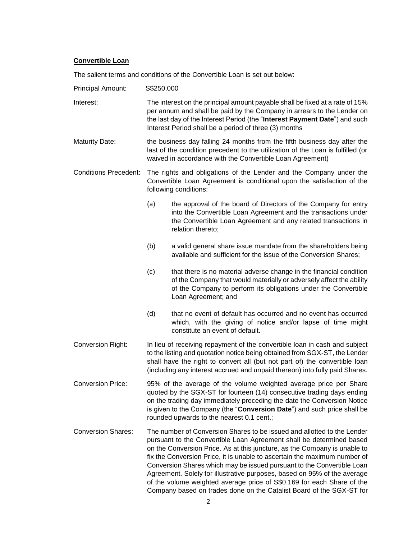#### **Convertible Loan**

The salient terms and conditions of the Convertible Loan is set out below:

Principal Amount: S\$250,000

- Interest: The interest on the principal amount payable shall be fixed at a rate of 15% per annum and shall be paid by the Company in arrears to the Lender on the last day of the Interest Period (the "**Interest Payment Date**") and such Interest Period shall be a period of three (3) months
- Maturity Date: the business day falling 24 months from the fifth business day after the last of the condition precedent to the utilization of the Loan is fulfilled (or waived in accordance with the Convertible Loan Agreement)
- Conditions Precedent: The rights and obligations of the Lender and the Company under the Convertible Loan Agreement is conditional upon the satisfaction of the following conditions:
	- (a) the approval of the board of Directors of the Company for entry into the Convertible Loan Agreement and the transactions under the Convertible Loan Agreement and any related transactions in relation thereto;
	- (b) a valid general share issue mandate from the shareholders being available and sufficient for the issue of the Conversion Shares;
	- (c) that there is no material adverse change in the financial condition of the Company that would materially or adversely affect the ability of the Company to perform its obligations under the Convertible Loan Agreement; and
	- (d) that no event of default has occurred and no event has occurred which, with the giving of notice and/or lapse of time might constitute an event of default.
- Conversion Right: In lieu of receiving repayment of the convertible loan in cash and subject to the listing and quotation notice being obtained from SGX-ST, the Lender shall have the right to convert all (but not part of) the convertible loan (including any interest accrued and unpaid thereon) into fully paid Shares.
- Conversion Price: 95% of the average of the volume weighted average price per Share quoted by the SGX-ST for fourteen (14) consecutive trading days ending on the trading day immediately preceding the date the Conversion Notice is given to the Company (the "**Conversion Date**") and such price shall be rounded upwards to the nearest 0.1 cent.;
- Conversion Shares: The number of Conversion Shares to be issued and allotted to the Lender pursuant to the Convertible Loan Agreement shall be determined based on the Conversion Price. As at this juncture, as the Company is unable to fix the Conversion Price, it is unable to ascertain the maximum number of Conversion Shares which may be issued pursuant to the Convertible Loan Agreement. Solely for illustrative purposes, based on 95% of the average of the volume weighted average price of S\$0.169 for each Share of the Company based on trades done on the Catalist Board of the SGX-ST for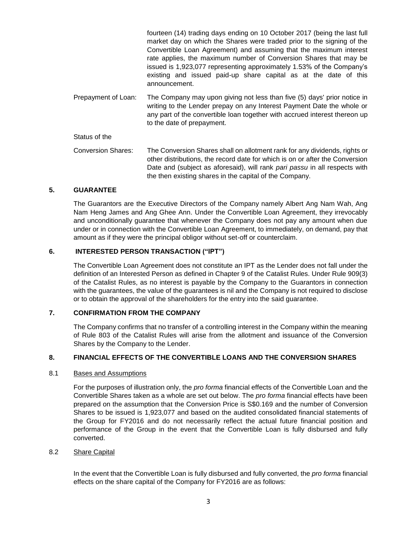|                           | fourteen (14) trading days ending on 10 October 2017 (being the last full<br>market day on which the Shares were traded prior to the signing of the<br>Convertible Loan Agreement) and assuming that the maximum interest<br>rate applies, the maximum number of Conversion Shares that may be<br>issued is 1,923,077 representing approximately 1.53% of the Company's<br>existing and issued paid-up share capital as at the date of this<br>announcement. |
|---------------------------|--------------------------------------------------------------------------------------------------------------------------------------------------------------------------------------------------------------------------------------------------------------------------------------------------------------------------------------------------------------------------------------------------------------------------------------------------------------|
| Prepayment of Loan:       | The Company may upon giving not less than five (5) days' prior notice in<br>writing to the Lender prepay on any Interest Payment Date the whole or<br>any part of the convertible loan together with accrued interest thereon up<br>to the date of prepayment.                                                                                                                                                                                               |
| Status of the             |                                                                                                                                                                                                                                                                                                                                                                                                                                                              |
| <b>Conversion Shares:</b> | The Conversion Shares shall on allotment rank for any dividends, rights or<br>other distributions, the record date for which is on or after the Conversion<br>Date and (subject as aforesaid), will rank pari passu in all respects with<br>the then existing shares in the capital of the Company.                                                                                                                                                          |

#### **5. GUARANTEE**

The Guarantors are the Executive Directors of the Company namely Albert Ang Nam Wah, Ang Nam Heng James and Ang Ghee Ann. Under the Convertible Loan Agreement, they irrevocably and unconditionally guarantee that whenever the Company does not pay any amount when due under or in connection with the Convertible Loan Agreement, to immediately, on demand, pay that amount as if they were the principal obligor without set-off or counterclaim.

# **6. INTERESTED PERSON TRANSACTION ("IPT")**

The Convertible Loan Agreement does not constitute an IPT as the Lender does not fall under the definition of an Interested Person as defined in Chapter 9 of the Catalist Rules. Under Rule 909(3) of the Catalist Rules, as no interest is payable by the Company to the Guarantors in connection with the guarantees, the value of the guarantees is nil and the Company is not required to disclose or to obtain the approval of the shareholders for the entry into the said guarantee.

## **7. CONFIRMATION FROM THE COMPANY**

The Company confirms that no transfer of a controlling interest in the Company within the meaning of Rule 803 of the Catalist Rules will arise from the allotment and issuance of the Conversion Shares by the Company to the Lender.

### **8. FINANCIAL EFFECTS OF THE CONVERTIBLE LOANS AND THE CONVERSION SHARES**

#### 8.1 Bases and Assumptions

For the purposes of illustration only, the *pro forma* financial effects of the Convertible Loan and the Convertible Shares taken as a whole are set out below. The *pro forma* financial effects have been prepared on the assumption that the Conversion Price is S\$0.169 and the number of Conversion Shares to be issued is 1,923,077 and based on the audited consolidated financial statements of the Group for FY2016 and do not necessarily reflect the actual future financial position and performance of the Group in the event that the Convertible Loan is fully disbursed and fully converted.

#### 8.2 Share Capital

In the event that the Convertible Loan is fully disbursed and fully converted, the *pro forma* financial effects on the share capital of the Company for FY2016 are as follows: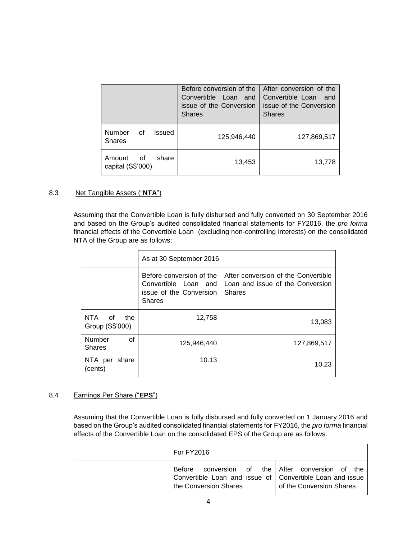|                                            | Before conversion of the<br>Convertible Loan and<br>issue of the Conversion<br><b>Shares</b> | After conversion of the<br>Convertible Loan and<br>issue of the Conversion<br><b>Shares</b> |
|--------------------------------------------|----------------------------------------------------------------------------------------------|---------------------------------------------------------------------------------------------|
| Number<br>- of<br>issued<br><b>Shares</b>  | 125,946,440                                                                                  | 127,869,517                                                                                 |
| Amount<br>share<br>of<br>capital (S\$'000) | 13,453                                                                                       | 13,778                                                                                      |

# 8.3 Net Tangible Assets ("**NTA**")

Assuming that the Convertible Loan is fully disbursed and fully converted on 30 September 2016 and based on the Group's audited consolidated financial statements for FY2016, the *pro forma* financial effects of the Convertible Loan (excluding non-controlling interests) on the consolidated NTA of the Group are as follows:

|                                     | As at 30 September 2016                                                                      |                                                                                          |  |
|-------------------------------------|----------------------------------------------------------------------------------------------|------------------------------------------------------------------------------------------|--|
|                                     | Before conversion of the<br>Convertible Loan and<br>issue of the Conversion<br><b>Shares</b> | After conversion of the Convertible<br>Loan and issue of the Conversion<br><b>Shares</b> |  |
| NTA<br>οf<br>the<br>Group (S\$'000) | 12,758                                                                                       | 13,083                                                                                   |  |
| Number<br>οf<br><b>Shares</b>       | 125,946,440                                                                                  | 127,869,517                                                                              |  |
| NTA per<br>share<br>(cents)         | 10.13                                                                                        | 10.23                                                                                    |  |

# 8.4 Earnings Per Share ("**EPS**")

Assuming that the Convertible Loan is fully disbursed and fully converted on 1 January 2016 and based on the Group's audited consolidated financial statements for FY2016, the *pro forma* financial effects of the Convertible Loan on the consolidated EPS of the Group are as follows:

| <b>For FY2016</b>                                                                                                                     |                          |
|---------------------------------------------------------------------------------------------------------------------------------------|--------------------------|
| Before conversion of the After conversion of the<br>Convertible Loan and issue of Convertible Loan and issue<br>the Conversion Shares | of the Conversion Shares |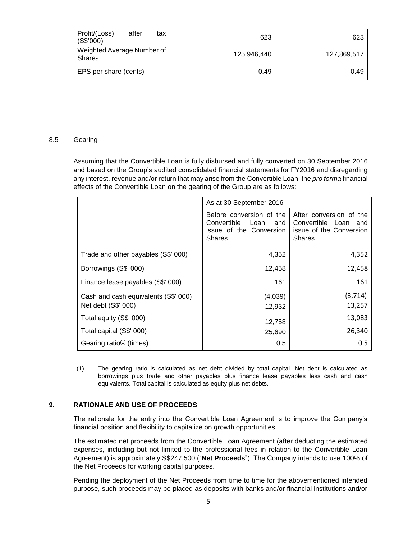| Profit/(Loss)<br>after<br>tax<br>(S\$'000)  | 623         | 623         |
|---------------------------------------------|-------------|-------------|
| Weighted Average Number of<br><b>Shares</b> | 125.946.440 | 127,869,517 |
| EPS per share (cents)                       | 0.49        | 0.49        |

### 8.5 Gearing

Assuming that the Convertible Loan is fully disbursed and fully converted on 30 September 2016 and based on the Group's audited consolidated financial statements for FY2016 and disregarding any interest, revenue and/or return that may arise from the Convertible Loan, the *pro forma* financial effects of the Convertible Loan on the gearing of the Group are as follows:

|                                                   | As at 30 September 2016                                                                            |                                                                                             |  |
|---------------------------------------------------|----------------------------------------------------------------------------------------------------|---------------------------------------------------------------------------------------------|--|
|                                                   | Before conversion of the<br>Convertible<br>Loan<br>and<br>issue of the Conversion<br><b>Shares</b> | After conversion of the<br>Convertible Loan and<br>issue of the Conversion<br><b>Shares</b> |  |
| Trade and other payables (S\$' 000)               | 4,352                                                                                              | 4,352                                                                                       |  |
| Borrowings (S\$' 000)                             | 12,458                                                                                             | 12,458                                                                                      |  |
| Finance lease payables (S\$' 000)                 | 161                                                                                                | 161                                                                                         |  |
| Cash and cash equivalents (S\$' 000)              | (4,039)                                                                                            | (3,714)                                                                                     |  |
| Net debt (S\$' 000)                               | 12,932                                                                                             | 13,257                                                                                      |  |
| Total equity (S\$' 000)                           | 12,758                                                                                             | 13,083                                                                                      |  |
| Total capital (S\$' 000)                          | 25,690                                                                                             | 26,340                                                                                      |  |
| Gearing ratio <sup><math>(1)</math></sup> (times) | 0.5                                                                                                | 0.5                                                                                         |  |

(1) The gearing ratio is calculated as net debt divided by total capital. Net debt is calculated as borrowings plus trade and other payables plus finance lease payables less cash and cash equivalents. Total capital is calculated as equity plus net debts.

# **9. RATIONALE AND USE OF PROCEEDS**

The rationale for the entry into the Convertible Loan Agreement is to improve the Company's financial position and flexibility to capitalize on growth opportunities.

The estimated net proceeds from the Convertible Loan Agreement (after deducting the estimated expenses, including but not limited to the professional fees in relation to the Convertible Loan Agreement) is approximately S\$247,500 ("**Net Proceeds**"). The Company intends to use 100% of the Net Proceeds for working capital purposes.

Pending the deployment of the Net Proceeds from time to time for the abovementioned intended purpose, such proceeds may be placed as deposits with banks and/or financial institutions and/or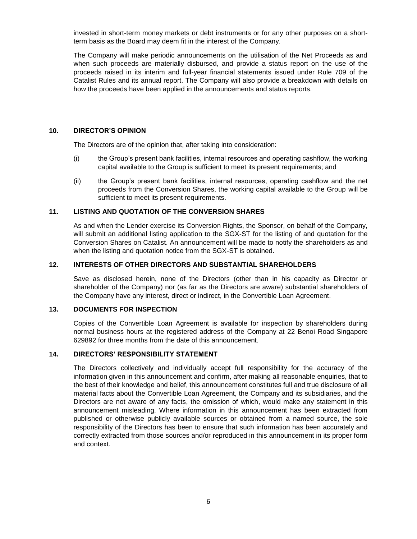invested in short-term money markets or debt instruments or for any other purposes on a shortterm basis as the Board may deem fit in the interest of the Company.

The Company will make periodic announcements on the utilisation of the Net Proceeds as and when such proceeds are materially disbursed, and provide a status report on the use of the proceeds raised in its interim and full-year financial statements issued under Rule 709 of the Catalist Rules and its annual report. The Company will also provide a breakdown with details on how the proceeds have been applied in the announcements and status reports.

## **10. DIRECTOR'S OPINION**

The Directors are of the opinion that, after taking into consideration:

- (i) the Group's present bank facilities, internal resources and operating cashflow, the working capital available to the Group is sufficient to meet its present requirements; and
- (ii) the Group's present bank facilities, internal resources, operating cashflow and the net proceeds from the Conversion Shares, the working capital available to the Group will be sufficient to meet its present requirements.

# **11. LISTING AND QUOTATION OF THE CONVERSION SHARES**

As and when the Lender exercise its Conversion Rights, the Sponsor, on behalf of the Company, will submit an additional listing application to the SGX-ST for the listing of and quotation for the Conversion Shares on Catalist. An announcement will be made to notify the shareholders as and when the listing and quotation notice from the SGX-ST is obtained.

### **12. INTERESTS OF OTHER DIRECTORS AND SUBSTANTIAL SHAREHOLDERS**

Save as disclosed herein, none of the Directors (other than in his capacity as Director or shareholder of the Company) nor (as far as the Directors are aware) substantial shareholders of the Company have any interest, direct or indirect, in the Convertible Loan Agreement.

### **13. DOCUMENTS FOR INSPECTION**

Copies of the Convertible Loan Agreement is available for inspection by shareholders during normal business hours at the registered address of the Company at 22 Benoi Road Singapore 629892 for three months from the date of this announcement.

# **14. DIRECTORS' RESPONSIBILITY STATEMENT**

The Directors collectively and individually accept full responsibility for the accuracy of the information given in this announcement and confirm, after making all reasonable enquiries, that to the best of their knowledge and belief, this announcement constitutes full and true disclosure of all material facts about the Convertible Loan Agreement, the Company and its subsidiaries, and the Directors are not aware of any facts, the omission of which, would make any statement in this announcement misleading. Where information in this announcement has been extracted from published or otherwise publicly available sources or obtained from a named source, the sole responsibility of the Directors has been to ensure that such information has been accurately and correctly extracted from those sources and/or reproduced in this announcement in its proper form and context.